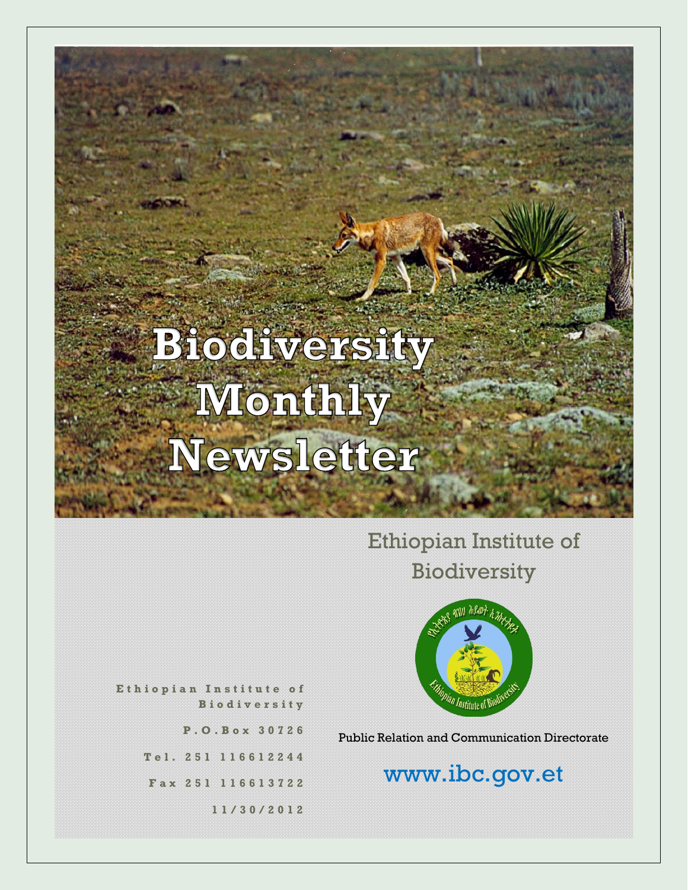# Ethiopian Institute of Biodiversity



**E t h i o p i a n I n s t i t u t e o f B i o d i v e r s i t y**

**P . O . B o x 3 0 7 2 6**

**T e l . 2 5 1 1 1 6 6 1 2 2 4 4**

**F a x 2 5 1 116613722**

**1 1 / 3 0 / 2 0 1 2**

Public Relation and Communication Directorate

# www.ibc.gov.et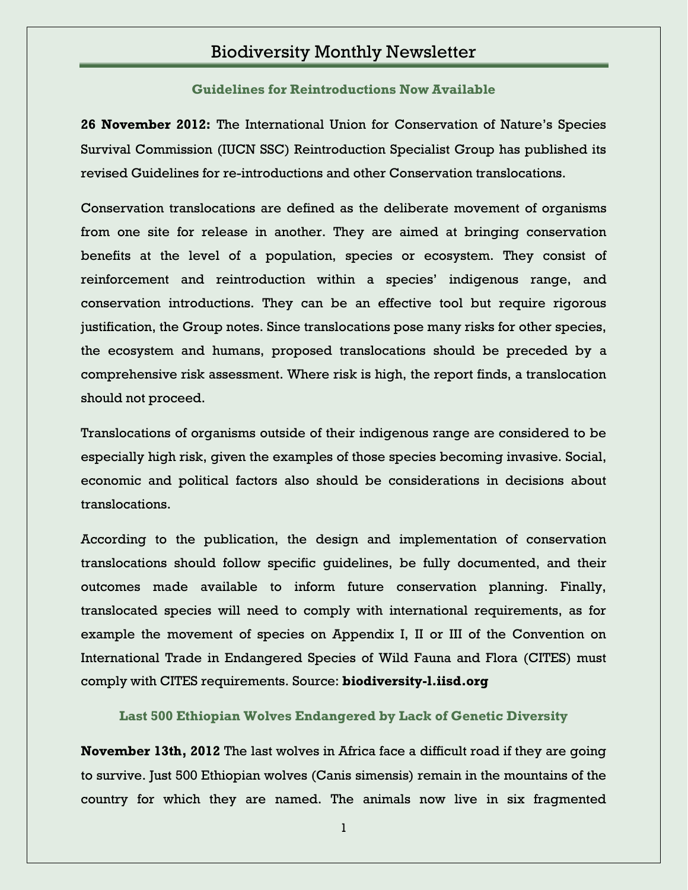**Guidelines for Reintroductions Now Available**

**26 November 2012:** The International Union for Conservation of Nature's Species Survival Commission (IUCN SSC) Reintroduction Specialist Group has published its revised Guidelines for re-introductions and other Conservation translocations.

Conservation translocations are defined as the deliberate movement of organisms from one site for release in another. They are aimed at bringing conservation benefits at the level of a population, species or ecosystem. They consist of reinforcement and reintroduction within a species' indigenous range, and conservation introductions. They can be an effective tool but require rigorous justification, the Group notes. Since translocations pose many risks for other species, the ecosystem and humans, proposed translocations should be preceded by a comprehensive risk assessment. Where risk is high, the report finds, a translocation should not proceed.

Translocations of organisms outside of their indigenous range are considered to be especially high risk, given the examples of those species becoming invasive. Social, economic and political factors also should be considerations in decisions about translocations.

According to the publication, the design and implementation of conservation translocations should follow specific guidelines, be fully documented, and their outcomes made available to inform future conservation planning. Finally, translocated species will need to comply with international requirements, as for example the movement of species on Appendix I, II or III of the Convention on International Trade in Endangered Species of Wild Fauna and Flora (CITES) must comply with CITES requirements. Source: **biodiversity-l.iisd.org**

**Last 500 Ethiopian Wolves Endangered by Lack of Genetic Diversity**

**November 13th, 2012** The last wolves in Africa face a difficult road if they are going to survive. Just 500 Ethiopian wolves (Canis simensis) remain in the mountains of the country for which they are named. The animals now live in six fragmented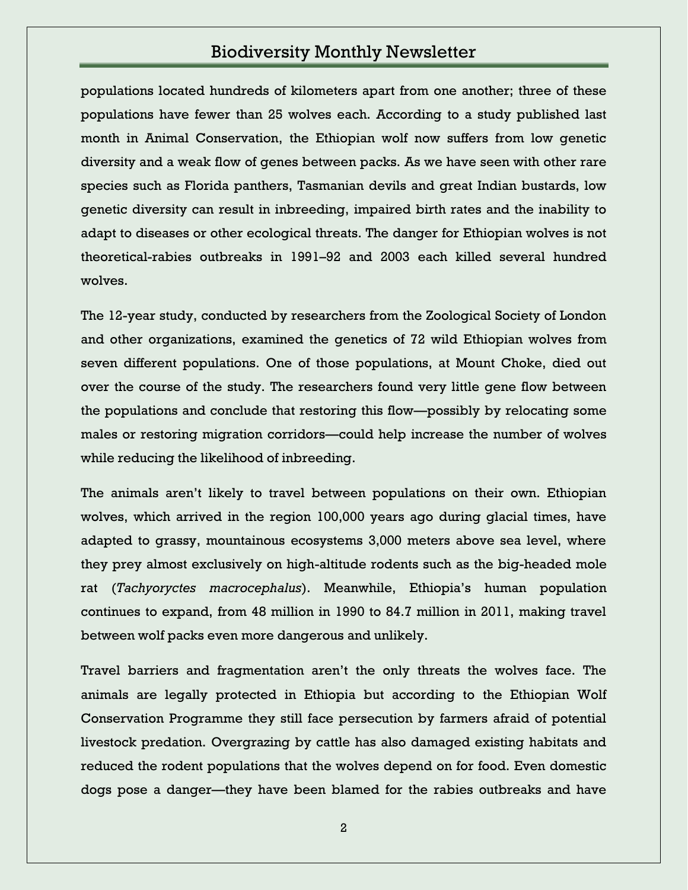populations located hundreds of kilometers apart from one another; three of these populations have fewer than 25 wolves each. According to a study published last month in Animal Conservation, the Ethiopian wolf now suffers from low genetic diversity and a weak flow of genes between packs. As we have seen with other rare species such as Florida panthers, Tasmanian devils and great Indian bustards, low genetic diversity can result in inbreeding, impaired birth rates and the inability to adapt to diseases or other ecological threats. The danger for Ethiopian wolves is not theoretical-rabies outbreaks in 1991–92 and 2003 each killed several hundred wolves.

The 12-year study, conducted by researchers from the Zoological Society of London and other organizations, examined the genetics of 72 wild Ethiopian wolves from seven different populations. One of those populations, at Mount Choke, died out over the course of the study. The researchers found very little gene flow between the populations and conclude that restoring this flow—possibly by relocating some males or restoring migration corridors—could help increase the number of wolves while reducing the likelihood of inbreeding.

The animals aren't likely to travel between populations on their own. Ethiopian wolves, which arrived in the region 100,000 years ago during glacial times, have adapted to grassy, mountainous ecosystems 3,000 meters above sea level, where they prey almost exclusively on high-altitude rodents such as the big-headed mole rat (*Tachyoryctes macrocephalus*). Meanwhile, Ethiopia's human population continues to expand, from 48 million in 1990 to 84.7 million in 2011, making travel between wolf packs even more dangerous and unlikely.

Travel barriers and fragmentation aren't the only threats the wolves face. The animals are legally protected in Ethiopia but according to the Ethiopian Wolf Conservation Programme they still face persecution by farmers afraid of potential livestock predation. Overgrazing by cattle has also damaged existing habitats and reduced the rodent populations that the wolves depend on for food. Even domestic dogs pose a danger—they have been blamed for the rabies outbreaks and have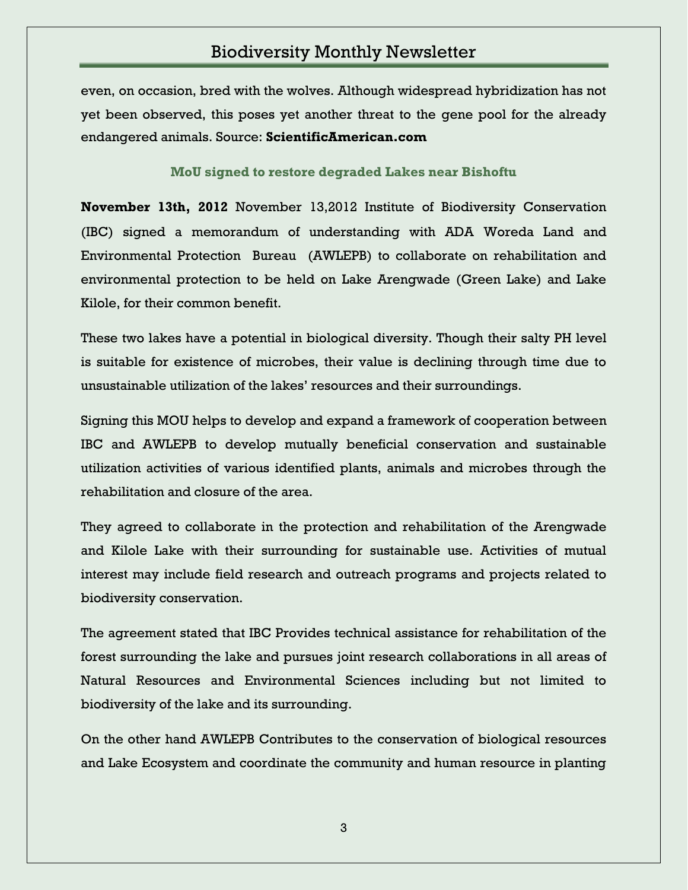even, on occasion, bred with the wolves. Although widespread hybridization has not yet been observed, this poses yet another threat to the gene pool for the already endangered animals. Source: **ScientificAmerican.com**

**MoU signed to restore degraded Lakes near Bishoftu**

**November 13th, 2012** November 13,2012 Institute of Biodiversity Conservation (IBC) signed a memorandum of understanding with ADA Woreda Land and Environmental Protection Bureau (AWLEPB) to collaborate on rehabilitation and environmental protection to be held on Lake Arengwade (Green Lake) and Lake Kilole, for their common benefit.

These two lakes have a potential in biological diversity. Though their salty PH level is suitable for existence of microbes, their value is declining through time due to unsustainable utilization of the lakes' resources and their surroundings.

Signing this MOU helps to develop and expand a framework of cooperation between IBC and AWLEPB to develop mutually beneficial conservation and sustainable utilization activities of various identified plants, animals and microbes through the rehabilitation and closure of the area.

They agreed to collaborate in the protection and rehabilitation of the Arengwade and Kilole Lake with their surrounding for sustainable use. Activities of mutual interest may include field research and outreach programs and projects related to biodiversity conservation.

The agreement stated that IBC Provides technical assistance for rehabilitation of the forest surrounding the lake and pursues joint research collaborations in all areas of Natural Resources and Environmental Sciences including but not limited to biodiversity of the lake and its surrounding.

On the other hand AWLEPB Contributes to the conservation of biological resources and Lake Ecosystem and coordinate the community and human resource in planting

3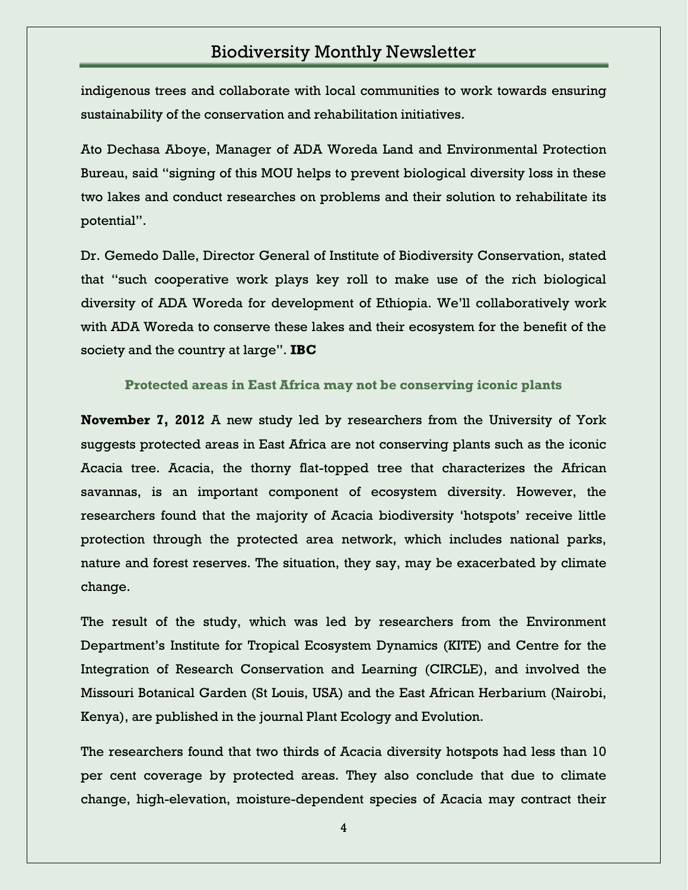indigenous trees and collaborate with local communities to work towards ensuring sustainability of the conservation and rehabilitation initiatives.

Ato Dechasa Aboye, Manager of ADA Woreda Land and Environmental Protection Bureau, said "signing of this MOU helps to prevent biological diversity loss in these two lakes and conduct researches on problems and their solution to rehabilitate its potential".

Dr. Gemedo Dalle, Director General of Institute of Biodiversity Conservation, stated that "such cooperative work plays key roll to make use of the rich biological diversity of ADA Woreda for development of Ethiopia. We'll collaboratively work with ADA Woreda to conserve these lakes and their ecosystem for the benefit of the society and the country at large". **IBC** 

**Protected areas in East Africa may not be conserving iconic plants**

**November 7, 2012** A new study led by researchers from the University of York suggests protected areas in East Africa are not conserving plants such as the iconic Acacia tree. Acacia, the thorny flat-topped tree that characterizes the African savannas, is an important component of ecosystem diversity. However, the researchers found that the majority of Acacia biodiversity 'hotspots' receive little protection through the protected area network, which includes national parks, nature and forest reserves. The situation, they say, may be exacerbated by climate change.

The result of the study, which was led by researchers from the Environment Department's Institute for Tropical Ecosystem Dynamics (KITE) and Centre for the Integration of Research Conservation and Learning (CIRCLE), and involved the Missouri Botanical Garden (St Louis, USA) and the East African Herbarium (Nairobi, Kenya), are published in the journal Plant Ecology and Evolution.

The researchers found that two thirds of Acacia diversity hotspots had less than 10 per cent coverage by protected areas. They also conclude that due to climate change, high-elevation, moisture-dependent species of Acacia may contract their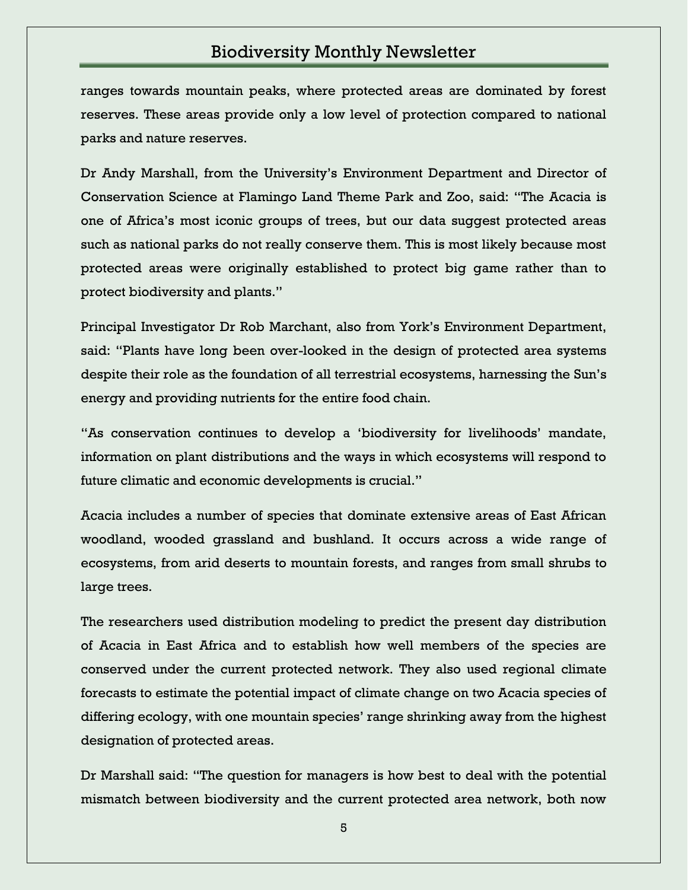ranges towards mountain peaks, where protected areas are dominated by forest reserves. These areas provide only a low level of protection compared to national parks and nature reserves.

Dr Andy Marshall, from the University's Environment Department and Director of Conservation Science at Flamingo Land Theme Park and Zoo, said: "The Acacia is one of Africa's most iconic groups of trees, but our data suggest protected areas such as national parks do not really conserve them. This is most likely because most protected areas were originally established to protect big game rather than to protect biodiversity and plants."

Principal Investigator Dr Rob Marchant, also from York's Environment Department, said: "Plants have long been over-looked in the design of protected area systems despite their role as the foundation of all terrestrial ecosystems, harnessing the Sun's energy and providing nutrients for the entire food chain.

―As conservation continues to develop a ‗biodiversity for livelihoods' mandate, information on plant distributions and the ways in which ecosystems will respond to future climatic and economic developments is crucial."

Acacia includes a number of species that dominate extensive areas of East African woodland, wooded grassland and bushland. It occurs across a wide range of ecosystems, from arid deserts to mountain forests, and ranges from small shrubs to large trees.

The researchers used distribution modeling to predict the present day distribution of Acacia in East Africa and to establish how well members of the species are conserved under the current protected network. They also used regional climate forecasts to estimate the potential impact of climate change on two Acacia species of differing ecology, with one mountain species' range shrinking away from the highest designation of protected areas.

Dr Marshall said: "The question for managers is how best to deal with the potential mismatch between biodiversity and the current protected area network, both now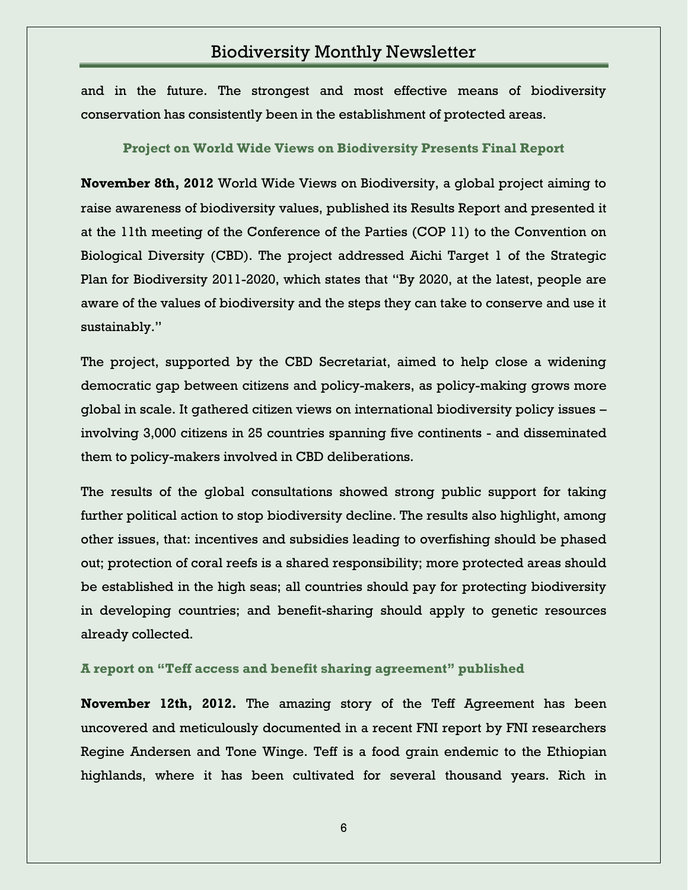and in the future. The strongest and most effective means of biodiversity conservation has consistently been in the establishment of protected areas.

#### **Project on World Wide Views on Biodiversity Presents Final Report**

**November 8th, 2012** World Wide Views on Biodiversity, a global project aiming to raise awareness of biodiversity values, published its Results Report and presented it at the 11th meeting of the Conference of the Parties (COP 11) to the Convention on Biological Diversity (CBD). The project addressed Aichi Target 1 of the Strategic Plan for Biodiversity 2011-2020, which states that "By 2020, at the latest, people are aware of the values of biodiversity and the steps they can take to conserve and use it sustainably."

The project, supported by the CBD Secretariat, aimed to help close a widening democratic gap between citizens and policy-makers, as policy-making grows more global in scale. It gathered citizen views on international biodiversity policy issues – involving 3,000 citizens in 25 countries spanning five continents - and disseminated them to policy-makers involved in CBD deliberations.

The results of the global consultations showed strong public support for taking further political action to stop biodiversity decline. The results also highlight, among other issues, that: incentives and subsidies leading to overfishing should be phased out; protection of coral reefs is a shared responsibility; more protected areas should be established in the high seas; all countries should pay for protecting biodiversity in developing countries; and benefit-sharing should apply to genetic resources already collected.

#### **A report on "Teff access and benefit sharing agreement" published**

**November 12th, 2012.** The amazing story of the Teff Agreement has been uncovered and meticulously documented in a recent FNI report by FNI researchers Regine Andersen and Tone Winge. Teff is a food grain endemic to the Ethiopian highlands, where it has been cultivated for several thousand years. Rich in